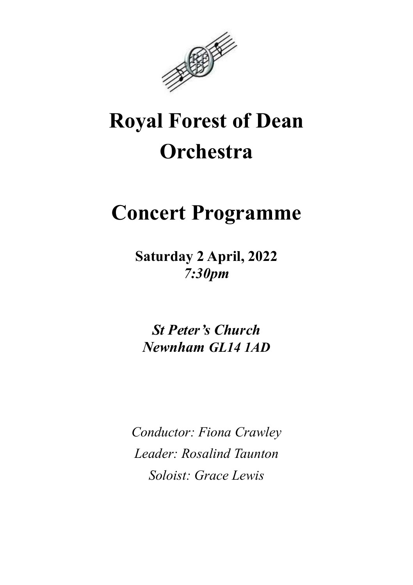

# Royal Forest of Dean **Orchestra**

## Concert Programme

Saturday 2 April, 2022 7:30pm

St Peter's Church Newnham GL14 1AD

Conductor: Fiona Crawley Leader: Rosalind Taunton Soloist: Grace Lewis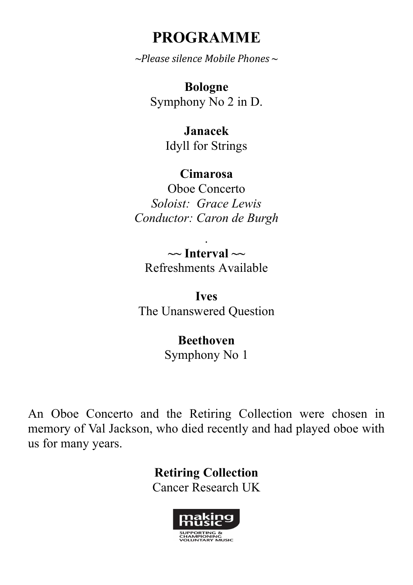#### PROGRAMME

 $\sim$ Please silence Mobile Phones  $\sim$ 

Bologne Symphony No 2 in D.

> Janacek Idyll for Strings

#### Cimarosa

Oboe Concerto Soloist: Grace Lewis Conductor: Caron de Burgh

.  $\sim$  Interval  $\sim$ Refreshments Available

Ives The Unanswered Question

> Beethoven Symphony No 1

An Oboe Concerto and the Retiring Collection were chosen in memory of Val Jackson, who died recently and had played oboe with us for many years.

> Retiring Collection Cancer Research UK

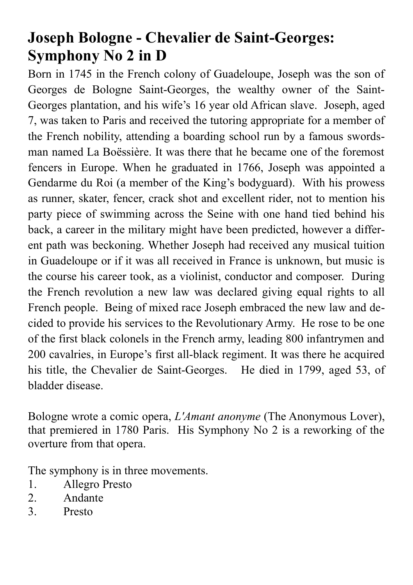## Joseph Bologne - Chevalier de Saint-Georges: Symphony No 2 in D

Born in 1745 in the French colony of Guadeloupe, Joseph was the son of Georges de Bologne Saint-Georges, the wealthy owner of the Saint-Georges plantation, and his wife's 16 year old African slave. Joseph, aged 7, was taken to Paris and received the tutoring appropriate for a member of the French nobility, attending a boarding school run by a famous swordsman named La Boëssière. It was there that he became one of the foremost fencers in Europe. When he graduated in 1766, Joseph was appointed a Gendarme du Roi (a member of the King's bodyguard). With his prowess as runner, skater, fencer, crack shot and excellent rider, not to mention his party piece of swimming across the Seine with one hand tied behind his back, a career in the military might have been predicted, however a different path was beckoning. Whether Joseph had received any musical tuition in Guadeloupe or if it was all received in France is unknown, but music is the course his career took, as a violinist, conductor and composer. During the French revolution a new law was declared giving equal rights to all French people. Being of mixed race Joseph embraced the new law and decided to provide his services to the Revolutionary Army. He rose to be one of the first black colonels in the French army, leading 800 infantrymen and 200 cavalries, in Europe's first all-black regiment. It was there he acquired his title, the Chevalier de Saint-Georges. He died in 1799, aged 53, of bladder disease.

Bologne wrote a comic opera, L'Amant anonyme (The Anonymous Lover), that premiered in 1780 Paris. His Symphony No 2 is a reworking of the overture from that opera.

The symphony is in three movements.

- 1. Allegro Presto
- 2. Andante
- 3. Presto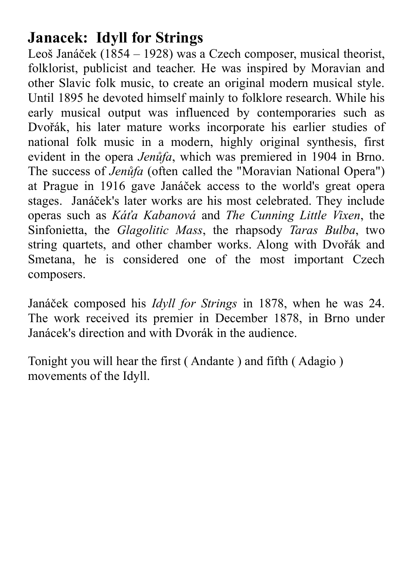### Janacek: Idyll for Strings

Leoš Janáček (1854 – 1928) was a Czech composer, musical theorist, folklorist, publicist and teacher. He was inspired by Moravian and other Slavic folk music, to create an original modern musical style. Until 1895 he devoted himself mainly to folklore research. While his early musical output was influenced by contemporaries such as Dvořák, his later mature works incorporate his earlier studies of national folk music in a modern, highly original synthesis, first evident in the opera Jenůfa, which was premiered in 1904 in Brno. The success of Jenůfa (often called the "Moravian National Opera") at Prague in 1916 gave Janáček access to the world's great opera stages. Janáček's later works are his most celebrated. They include operas such as Káťa Kabanová and The Cunning Little Vixen, the Sinfonietta, the Glagolitic Mass, the rhapsody Taras Bulba, two string quartets, and other chamber works. Along with Dvořák and Smetana, he is considered one of the most important Czech composers.

Janáček composed his Idyll for Strings in 1878, when he was 24. The work received its premier in December 1878, in Brno under Janácek's direction and with Dvorák in the audience.

Tonight you will hear the first ( Andante ) and fifth ( Adagio ) movements of the Idyll.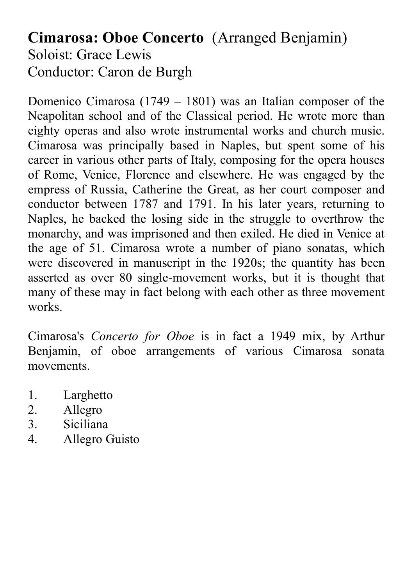#### Cimarosa: Oboe Concerto (Arranged Benjamin) Soloist: Grace Lewis Conductor: Caron de Burgh

Domenico Cimarosa (1749 – 1801) was an Italian composer of the Neapolitan school and of the Classical period. He wrote more than eighty operas and also wrote instrumental works and church music. Cimarosa was principally based in Naples, but spent some of his career in various other parts of Italy, composing for the opera houses of Rome, Venice, Florence and elsewhere. He was engaged by the empress of Russia, Catherine the Great, as her court composer and conductor between 1787 and 1791. In his later years, returning to Naples, he backed the losing side in the struggle to overthrow the monarchy, and was imprisoned and then exiled. He died in Venice at the age of 51. Cimarosa wrote a number of piano sonatas, which were discovered in manuscript in the 1920s; the quantity has been asserted as over 80 single-movement works, but it is thought that many of these may in fact belong with each other as three movement works.

Cimarosa's Concerto for Oboe is in fact a 1949 mix, by Arthur Benjamin, of oboe arrangements of various Cimarosa sonata movements.

- 1. Larghetto
- 2. Allegro
- 3. Siciliana
- 4. Allegro Guisto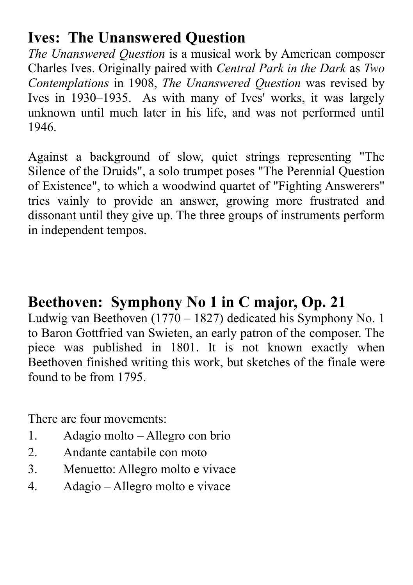### Ives: The Unanswered Question

The Unanswered Question is a musical work by American composer Charles Ives. Originally paired with Central Park in the Dark as Two Contemplations in 1908, The Unanswered Question was revised by Ives in 1930–1935. As with many of Ives' works, it was largely unknown until much later in his life, and was not performed until 1946.

Against a background of slow, quiet strings representing "The Silence of the Druids", a solo trumpet poses "The Perennial Question of Existence", to which a woodwind quartet of "Fighting Answerers" tries vainly to provide an answer, growing more frustrated and dissonant until they give up. The three groups of instruments perform in independent tempos.

#### Beethoven: Symphony No 1 in C major, Op. 21

Ludwig van Beethoven (1770 – 1827) dedicated his Symphony No. 1 to Baron Gottfried van Swieten, an early patron of the composer. The piece was published in 1801. It is not known exactly when Beethoven finished writing this work, but sketches of the finale were found to be from 1795.

There are four movements:

- 1. Adagio molto Allegro con brio
- 2. Andante cantabile con moto
- 3. Menuetto: Allegro molto e vivace
- 4. Adagio Allegro molto e vivace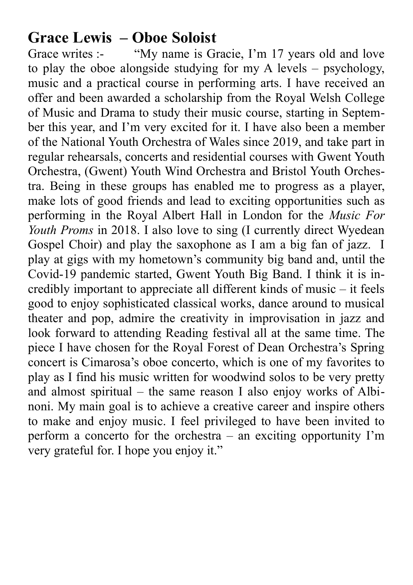#### Grace Lewis – Oboe Soloist

Grace writes :- "My name is Gracie, I'm 17 years old and love to play the oboe alongside studying for my A levels – psychology, music and a practical course in performing arts. I have received an offer and been awarded a scholarship from the Royal Welsh College of Music and Drama to study their music course, starting in September this year, and I'm very excited for it. I have also been a member of the National Youth Orchestra of Wales since 2019, and take part in regular rehearsals, concerts and residential courses with Gwent Youth Orchestra, (Gwent) Youth Wind Orchestra and Bristol Youth Orchestra. Being in these groups has enabled me to progress as a player, make lots of good friends and lead to exciting opportunities such as performing in the Royal Albert Hall in London for the Music For Youth Proms in 2018. I also love to sing (I currently direct Wyedean Gospel Choir) and play the saxophone as I am a big fan of jazz. I play at gigs with my hometown's community big band and, until the Covid-19 pandemic started, Gwent Youth Big Band. I think it is incredibly important to appreciate all different kinds of music – it feels good to enjoy sophisticated classical works, dance around to musical theater and pop, admire the creativity in improvisation in jazz and look forward to attending Reading festival all at the same time. The piece I have chosen for the Royal Forest of Dean Orchestra's Spring concert is Cimarosa's oboe concerto, which is one of my favorites to play as I find his music written for woodwind solos to be very pretty and almost spiritual – the same reason I also enjoy works of Albinoni. My main goal is to achieve a creative career and inspire others to make and enjoy music. I feel privileged to have been invited to perform a concerto for the orchestra – an exciting opportunity I'm very grateful for. I hope you enjoy it."